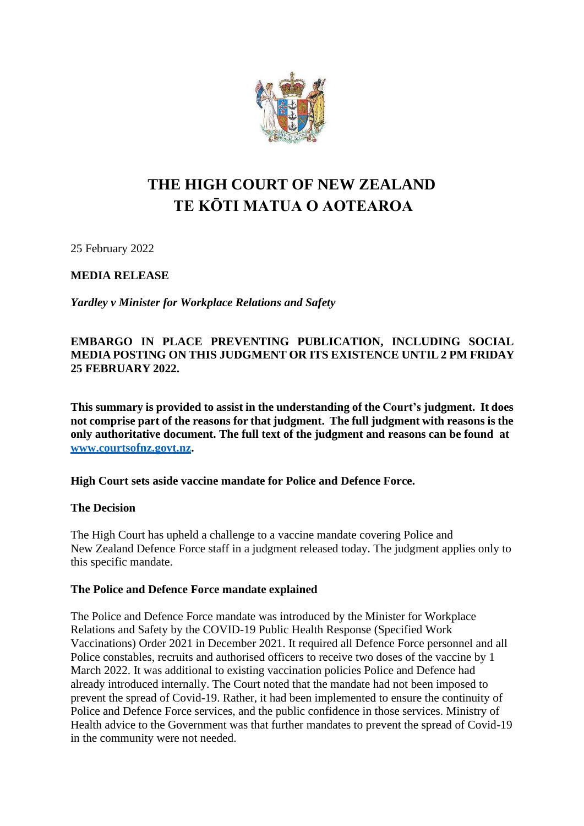

# **THE HIGH COURT OF NEW ZEALAND TE KŌTI MATUA O AOTEAROA**

25 February 2022

**MEDIA RELEASE**

*Yardley v Minister for Workplace Relations and Safety*

## **EMBARGO IN PLACE PREVENTING PUBLICATION, INCLUDING SOCIAL MEDIA POSTING ON THIS JUDGMENT OR ITS EXISTENCE UNTIL 2 PM FRIDAY 25 FEBRUARY 2022.**

**This summary is provided to assist in the understanding of the Court's judgment. It does not comprise part of the reasons for that judgment. The full judgment with reasons is the only authoritative document. The full text of the judgment and reasons can be found at [www.courtsofnz.govt.nz.](http://www.courtsofnz.govt.nz/)**

## **High Court sets aside vaccine mandate for Police and Defence Force.**

## **The Decision**

The High Court has upheld a challenge to a vaccine mandate covering Police and New Zealand Defence Force staff in a judgment released today. The judgment applies only to this specific mandate.

### **The Police and Defence Force mandate explained**

The Police and Defence Force mandate was introduced by the Minister for Workplace Relations and Safety by the COVID-19 Public Health Response (Specified Work Vaccinations) Order 2021 in December 2021. It required all Defence Force personnel and all Police constables, recruits and authorised officers to receive two doses of the vaccine by 1 March 2022. It was additional to existing vaccination policies Police and Defence had already introduced internally. The Court noted that the mandate had not been imposed to prevent the spread of Covid-19. Rather, it had been implemented to ensure the continuity of Police and Defence Force services, and the public confidence in those services. Ministry of Health advice to the Government was that further mandates to prevent the spread of Covid-19 in the community were not needed.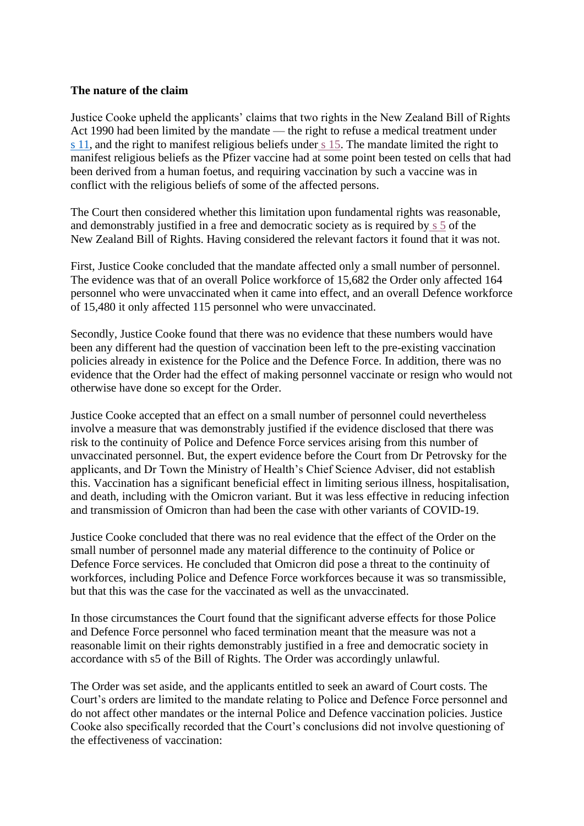### **The nature of the claim**

Justice Cooke upheld the applicants' claims that two rights in the New Zealand Bill of Rights Act 1990 had been limited by the mandate — the right to refuse a medical treatment under  $\frac{s}{s}$  11, and the right to manifest religious beliefs under  $\frac{s}{s}$  15. The mandate limited the right to manifest religious beliefs as the Pfizer vaccine had at some point been tested on cells that had been derived from a human foetus, and requiring vaccination by such a vaccine was in conflict with the religious beliefs of some of the affected persons.

The Court then considered whether this limitation upon fundamental rights was reasonable, and demonstrably justified in a free and democratic society as is required by [s 5](https://www.legislation.govt.nz/act/public/1990/0109/latest/DLM225501.html?search=ts_act%40bill%40regulation%40deemedreg_NEW%2BZEALAND%2BBILL_resel_25_a&p=1) of the New Zealand Bill of Rights. Having considered the relevant factors it found that it was not.

First, Justice Cooke concluded that the mandate affected only a small number of personnel. The evidence was that of an overall Police workforce of 15,682 the Order only affected 164 personnel who were unvaccinated when it came into effect, and an overall Defence workforce of 15,480 it only affected 115 personnel who were unvaccinated.

Secondly, Justice Cooke found that there was no evidence that these numbers would have been any different had the question of vaccination been left to the pre-existing vaccination policies already in existence for the Police and the Defence Force. In addition, there was no evidence that the Order had the effect of making personnel vaccinate or resign who would not otherwise have done so except for the Order.

Justice Cooke accepted that an effect on a small number of personnel could nevertheless involve a measure that was demonstrably justified if the evidence disclosed that there was risk to the continuity of Police and Defence Force services arising from this number of unvaccinated personnel. But, the expert evidence before the Court from Dr Petrovsky for the applicants, and Dr Town the Ministry of Health's Chief Science Adviser, did not establish this. Vaccination has a significant beneficial effect in limiting serious illness, hospitalisation, and death, including with the Omicron variant. But it was less effective in reducing infection and transmission of Omicron than had been the case with other variants of COVID-19.

Justice Cooke concluded that there was no real evidence that the effect of the Order on the small number of personnel made any material difference to the continuity of Police or Defence Force services. He concluded that Omicron did pose a threat to the continuity of workforces, including Police and Defence Force workforces because it was so transmissible, but that this was the case for the vaccinated as well as the unvaccinated.

In those circumstances the Court found that the significant adverse effects for those Police and Defence Force personnel who faced termination meant that the measure was not a reasonable limit on their rights demonstrably justified in a free and democratic society in accordance with s5 of the Bill of Rights. The Order was accordingly unlawful.

The Order was set aside, and the applicants entitled to seek an award of Court costs. The Court's orders are limited to the mandate relating to Police and Defence Force personnel and do not affect other mandates or the internal Police and Defence vaccination policies. Justice Cooke also specifically recorded that the Court's conclusions did not involve questioning of the effectiveness of vaccination: